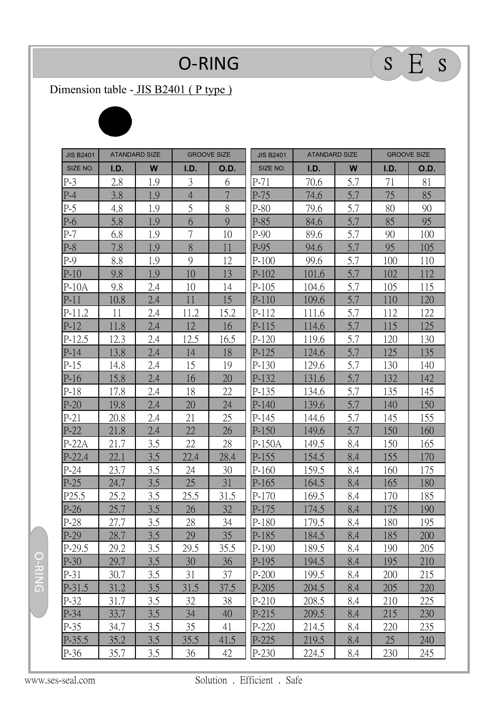## $O-RING$   $S \tEqes$

## Dimension table - JIS B2401 (P type)



| <b>JIS B2401</b> | <b>ATANDARD SIZE</b> |     | <b>GROOVE SIZE</b> |                | <b>JIS B2401</b> | <b>ATANDARD SIZE</b> |     | <b>GROOVE SIZE</b> |             |
|------------------|----------------------|-----|--------------------|----------------|------------------|----------------------|-----|--------------------|-------------|
| SIZE NO.         | I.D.                 | W   | I.D.               | <b>O.D.</b>    | SIZE NO.         | I.D.                 | W   | I.D.               | <b>O.D.</b> |
| $P-3$            | 2.8                  | 1.9 | 3                  | 6              | $P-71$           | 70.6                 | 5.7 | 71                 | 81          |
| $P-4$            | 3.8                  | 1.9 | $\overline{4}$     | $\overline{7}$ | $P-75$           | 74.6                 | 5.7 | 75                 | 85          |
| $P-5$            | 4.8                  | 1.9 | 5                  | 8              | $P-80$           | 79.6                 | 5.7 | 80                 | 90          |
| $P-6$            | 5.8                  | 1.9 | 6                  | 9              | $P-85$           | 84.6                 | 5.7 | 85                 | 95          |
| $P-7$            | 6.8                  | 1.9 | $\overline{7}$     | 10             | $P-90$           | 89.6                 | 5.7 | 90                 | 100         |
| $P-8$            | 7.8                  | 1.9 | 8                  | 11             | $P-95$           | 94.6                 | 5.7 | 95                 | 105         |
| $P-9$            | 8.8                  | 1.9 | 9                  | 12             | $P-100$          | 99.6                 | 5.7 | 100                | 110         |
| $P-10$           | 9.8                  | 1.9 | 10                 | 13             | $P-102$          | 101.6                | 5.7 | 102                | 112         |
| $P-10A$          | 9.8                  | 2.4 | 10                 | 14             | $P-105$          | 104.6                | 5.7 | 105                | 115         |
| $P-11$           | 10.8                 | 2.4 | 11                 | 15             | $P-110$          | 109.6                | 5.7 | 110                | 120         |
| $P-11.2$         | 11                   | 2.4 | 11.2               | 15.2           | P-112            | 111.6                | 5.7 | 112                | 122         |
| $P-12$           | 11.8                 | 2.4 | 12                 | 16             | $P-115$          | 114.6                | 5.7 | 115                | 125         |
| $P-12.5$         | 12.3                 | 2.4 | 12.5               | 16.5           | $P-120$          | 119.6                | 5.7 | 120                | 130         |
| $P-14$           | 13.8                 | 2.4 | 14                 | 18             | $P-125$          | 124.6                | 5.7 | 125                | 135         |
| $P-15$           | 14.8                 | 2.4 | 15                 | 19             | $P-130$          | 129.6                | 5.7 | 130                | 140         |
| $P-16$           | 15.8                 | 2.4 | 16                 | 20             | P-132            | 131.6                | 5.7 | 132                | 142         |
| $P-18$           | 17.8                 | 2.4 | 18                 | 22             | $P-135$          | 134.6                | 5.7 | 135                | 145         |
| $P-20$           | 19.8                 | 2.4 | 20                 | 24             | $P-140$          | 139.6                | 5.7 | 140                | 150         |
| $P-21$           | 20.8                 | 2.4 | 21                 | 25             | $P-145$          | 144.6                | 5.7 | 145                | 155         |
| $P-22$           | 21.8                 | 2.4 | 22                 | 26             | $P-150$          | 149.6                | 5.7 | 150                | 160         |
| $P-22A$          | 21.7                 | 3.5 | 22                 | 28             | P-150A           | 149.5                | 8.4 | 150                | 165         |
| $P-22.4$         | 22.1                 | 3.5 | 22.4               | 28.4           | $P-155$          | 154.5                | 8.4 | 155                | 170         |
| $P-24$           | 23.7                 | 3.5 | 24                 | 30             | $P-160$          | 159.5                | 8.4 | 160                | 175         |
| $P-25$           | 24.7                 | 3.5 | 25                 | 31             | $P-165$          | 164.5                | 8.4 | 165                | 180         |
| P25.5            | 25.2                 | 3.5 | 25.5               | 31.5           | $P-170$          | 169.5                | 8.4 | 170                | 185         |
| $P-26$           | 25.7                 | 3.5 | 26                 | 32             | $P-175$          | 174.5                | 8.4 | 175                | 190         |
| P-28             | 27.7                 | 3.5 | 28                 | 34             | $P-180$          | 179.5                | 8.4 | 180                | 195         |
| $P-29$           | 28.7                 | 3.5 | 29                 | 35             | $P-185$          | 184.5                | 8.4 | 185                | 200         |
| $P-29.5$         | 29.2                 | 3.5 | 29.5               | 35.5           | $P-190$          | 189.5                | 8.4 | 190                | 205         |
| $P-30$           | 29.7                 | 3.5 | 30                 | 36             | $P-195$          | 194.5                | 8.4 | 195                | 210         |
| $P-31$           | 30.7                 | 3.5 | 31                 | 37             | $P-200$          | 199.5                | 8.4 | 200                | 215         |
| $P-31.5$         | 31.2                 | 3.5 | 31.5               | 37.5           | $P-205$          | 204.5                | 8.4 | 205                | 220         |
| P-32             | 31.7                 | 3.5 | 32                 | 38             | $P-210$          | 208.5                | 8.4 | 210                | 225         |
| $P-34$           | 33.7                 | 3.5 | 34                 | 40             | $P-215$          | 209.5                | 8.4 | 215                | 230         |
| $P-35$           | 34.7                 | 3.5 | 35                 | 41             | $P-220$          | 214.5                | 8.4 | 220                | 235         |
| $P-35.5$         | 35.2                 | 3.5 | 35.5               | 41.5           | $P-225$          | 219.5                | 8.4 | 25                 | 240         |
| P-36             | 35.7                 | 3.5 | 36                 | 42             | P-230            | 224.5                | 8.4 | 230                | 245         |